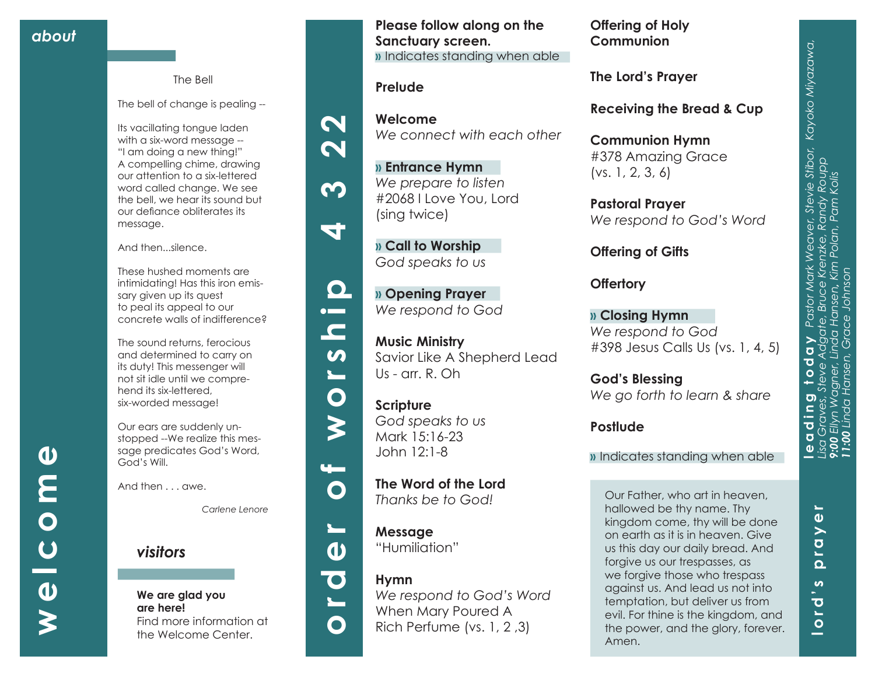### The Bell

The bell of change is pealing --

Its vacillating tongue laden with a six-word message -- "I am doing a new thing!" A compelling chime, drawing our attention to a six-lettered word called change. We see the bell, we hear its sound but our defiance obliterates its message.

And then...silence.

These hushed moments are intimidating! Has this iron emis sary given up its quest to peal its appeal to our concrete walls of indifference?

The sound returns, ferocious and determined to carry on its duty! This messenger will not sit idle until we compre hend its six-lettered, six-worded message!

Our ears are suddenly un stopped --We realize this mes sage predicates God's Word, God's Will.

And then . . . awe.

*Carlene Lenore*

# *visitors*

### **We are glad you are here!** Find more information at the Welcome Center.

**Please follow along on the Sanctuary screen. »** Indicates standing when able

# **Prelude**

 $\boldsymbol{\mathsf{N}}$ 

 $\mathbf N$ 

 $\boldsymbol{\Omega}$ 

ā.

 $\mathbf{\Omega}$ 

 $\bullet$   $\blacksquare$  $\blacksquare$ 

 $\boldsymbol{\omega}$ 

 $\overline{\phantom{0}}$ 

 $\bullet$ 

 $\blacktriangleright$ 

 $\mathbf{u}$ 

 $\mathbf O$ 

 $\mathbf{r}$ 

 $\mathbf{v}$ 

**Welcome** *We connect with each other*

**» Entrance Hymn**  *We prepare to listen* #2068 I Love You, Lord (sing twice)

**» Call to Worship**  *God speaks to us*

**» Opening Prayer**  *We respond to God*

**Music Ministry**  Savior Like A Shepherd Lead Us - arr. R. Oh

**Scripture** *God speaks to us* Mark 15:16-23 John 12:1-8

**The Word of the Lord**  *Thanks be to God!*

**Message** "Humiliation"



**Hymn**  *We respond to God's Word*  When Mary Poured A Rich Perfume (vs. 1, 2 ,3)

**Offering of Holy Communion**

**The Lord's Prayer**

**Receiving the Bread & Cup** 

**Communion Hymn** #378 Amazing Grace (vs. 1, 2, 3, 6)

**Pastoral Prayer** *We respond to God's Word*

**Offering of Gifts** 

**Offertory**

**» Closing Hymn** *We respond to God* #398 Jesus Calls Us (vs. 1, 4, 5)

**God's Blessing** *We go forth to learn & share*

# **Postlude**

**»** Indicates standing when able

Our Father, who art in heaven, hallowed be thy name. Thy kingdom come, thy will be done on earth as it is in heaven. Give us this day our daily bread. And forgive us our trespasses, as we forgive those who trespass against us. And lead us not into temptation, but deliver us from evil. For thine is the kingdom, and the power, and the glory, forever. Amen.

**lord's prayer**

 $\boldsymbol{\omega}$  $\overline{\mathbf{C}}$  $\blacksquare$ 

 $\circ$ 

a an

£.  $\Omega$ 

١L

 $\boldsymbol{\omega}$  $\geq$ 

**welcome**

 $\overline{C}$ 

 $\boldsymbol{\omega}$ 

 $\boldsymbol{\boldsymbol{\zeta}}$ 

 $\overline{\mathbf{O}}$ 

 $\boldsymbol{\omega}$ 

E